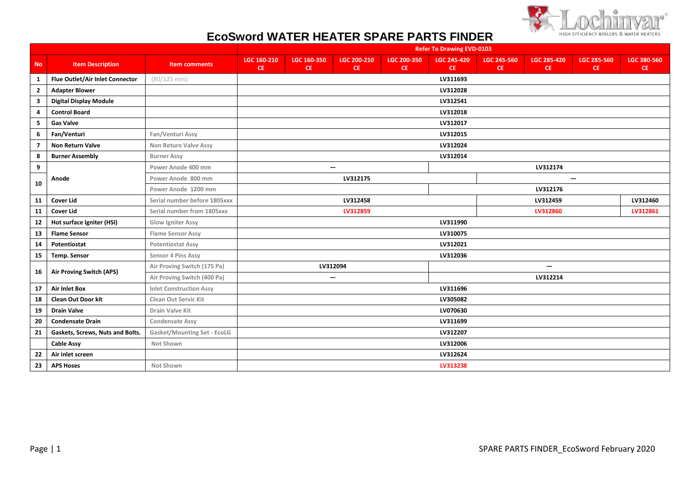

## **EcoSword WATER HEATER SPARE PARTS FINDER**

|                         |                                  |                                | <b>Refer To Drawing EVD-0103</b> |                    |                              |                          |                                 |                           |                                 |                                 |                          |
|-------------------------|----------------------------------|--------------------------------|----------------------------------|--------------------|------------------------------|--------------------------|---------------------------------|---------------------------|---------------------------------|---------------------------------|--------------------------|
| <b>No</b>               | <b>Item Description</b>          | <b>Item comments</b>           | LGC 160-210<br>CE.               | LGC 160-350<br>CE. | LGC 200-210<br><b>CE</b>     | LGC 200-350<br><b>CE</b> | <b>LGC 245-420</b><br><b>CE</b> | <b>LGC 245-560</b><br>CE. | <b>LGC 285-420</b><br><b>CE</b> | <b>LGC 285-560</b><br><b>CE</b> | LGC 380-560<br><b>CE</b> |
| $\mathbf{1}$            | Flue Outlet/Air Inlet Connector  | $(80/125$ mm)                  |                                  |                    |                              |                          | LV311693                        |                           |                                 |                                 |                          |
| $\overline{\mathbf{2}}$ | <b>Adapter Blower</b>            |                                |                                  |                    |                              |                          | LV312028                        |                           |                                 |                                 |                          |
| 3                       | <b>Digital Display Module</b>    |                                |                                  |                    |                              |                          | LV312541                        |                           |                                 |                                 |                          |
| 4                       | <b>Control Board</b>             |                                |                                  |                    |                              |                          | LV312018                        |                           |                                 |                                 |                          |
| 5                       | <b>Gas Valve</b>                 |                                |                                  |                    |                              |                          | LV312017                        |                           |                                 |                                 |                          |
| 6                       | Fan/Venturi                      | Fan/Venturi Assy               |                                  |                    |                              |                          | LV312015                        |                           |                                 |                                 |                          |
| $\overline{7}$          | Non Return Valve                 | Non Return Valve Assy          |                                  |                    |                              |                          | LV312024                        |                           |                                 |                                 |                          |
| 8                       | <b>Burner Assembly</b>           | <b>Burner Assy</b>             |                                  |                    |                              |                          | LV312014                        |                           |                                 |                                 |                          |
| 9                       |                                  | Power Anode 400 mm             |                                  |                    | $\qquad \qquad \blacksquare$ |                          |                                 |                           | LV312174                        |                                 |                          |
| 10                      | Anode                            | Power Anode 800 mm             |                                  |                    | LV312175                     |                          |                                 |                           |                                 | $\qquad \qquad$                 |                          |
|                         |                                  | Power Anode 1200 mm            |                                  |                    |                              |                          |                                 |                           | LV312176                        |                                 |                          |
| 11                      | <b>Cover Lid</b>                 | Serial number before 1805xxx   |                                  |                    | LV312458                     |                          |                                 |                           | LV312459                        |                                 | LV312460                 |
| 11                      | <b>Cover Lid</b>                 | Serial number from 1805xxx     |                                  |                    | LV312859                     |                          |                                 |                           | LV312860                        |                                 | LV312861                 |
| 12                      | Hot surface Igniter (HSI)        | Glow Igniter Assy              |                                  |                    |                              |                          | LV311990                        |                           |                                 |                                 |                          |
| 13                      | <b>Flame Sensor</b>              | <b>Flame Sensor Assy</b>       |                                  |                    |                              |                          | LV310075                        |                           |                                 |                                 |                          |
| 14                      | Potentiostat                     | <b>Potentiostat Assy</b>       |                                  |                    |                              |                          | LV312021                        |                           |                                 |                                 |                          |
| 15                      | <b>Temp. Sensor</b>              | Sensor 4 Pins Assy             |                                  |                    |                              |                          | LV312036                        |                           |                                 |                                 |                          |
| 16                      | Air Proving Switch (APS)         | Air Proving Switch (175 Pa)    |                                  |                    | LV312094                     |                          |                                 |                           |                                 |                                 |                          |
|                         |                                  | Air Proving Switch (400 Pa)    |                                  |                    | $\overline{\phantom{0}}$     |                          |                                 |                           | LV312214                        |                                 |                          |
| 17                      | <b>Air Inlet Box</b>             | <b>Inlet Construction Assy</b> |                                  |                    |                              |                          | LV311696                        |                           |                                 |                                 |                          |
| 18                      | <b>Clean Out Door kit</b>        | <b>Clean Out Servic Kit</b>    |                                  |                    |                              |                          | LV305082                        |                           |                                 |                                 |                          |
| 19                      | <b>Drain Valve</b>               | Drain Valve Kit                |                                  |                    |                              |                          | LV070630                        |                           |                                 |                                 |                          |
| 20                      | <b>Condensate Drain</b>          | <b>Condensate Assy</b>         |                                  |                    |                              |                          | LV311699                        |                           |                                 |                                 |                          |
| 21                      | Gaskets, Screws, Nuts and Bolts. | Gasket/Mounting Set - EcoLG    |                                  |                    |                              |                          | LV312207                        |                           |                                 |                                 |                          |
|                         | <b>Cable Assy</b>                | Not Shown                      |                                  |                    |                              |                          | LV312006                        |                           |                                 |                                 |                          |
| 22                      | Air inlet screen                 |                                |                                  |                    |                              |                          | LV312624                        |                           |                                 |                                 |                          |
| 23                      | <b>APS Hoses</b>                 | Not Shown                      |                                  |                    |                              |                          | LV313238                        |                           |                                 |                                 |                          |